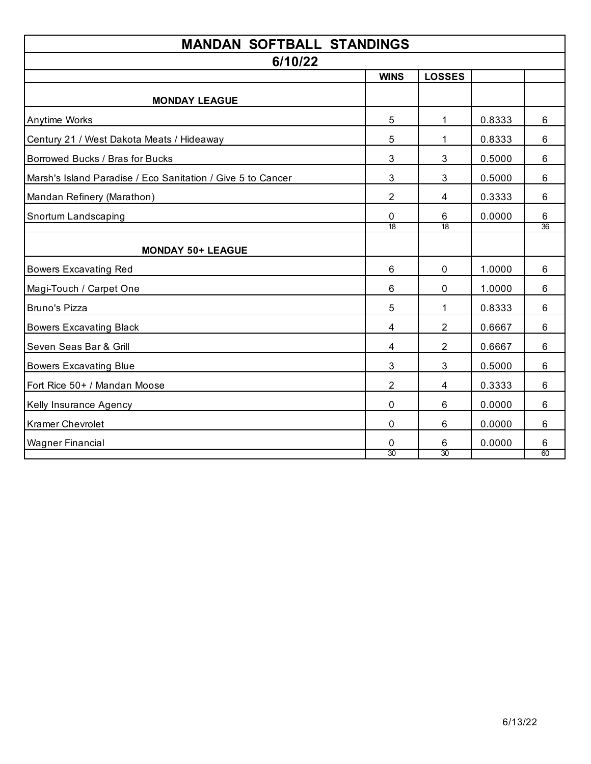| <b>MANDAN SOFTBALL STANDINGS</b>                            |                |                |        |    |  |  |
|-------------------------------------------------------------|----------------|----------------|--------|----|--|--|
| 6/10/22                                                     |                |                |        |    |  |  |
|                                                             | <b>WINS</b>    | <b>LOSSES</b>  |        |    |  |  |
| <b>MONDAY LEAGUE</b>                                        |                |                |        |    |  |  |
| Anytime Works                                               | 5              | 1              | 0.8333 | 6  |  |  |
| Century 21 / West Dakota Meats / Hideaway                   | 5              | 1              | 0.8333 | 6  |  |  |
| Borrowed Bucks / Bras for Bucks                             | 3              | 3              | 0.5000 | 6  |  |  |
| Marsh's Island Paradise / Eco Sanitation / Give 5 to Cancer | $\mathfrak{S}$ | 3              | 0.5000 | 6  |  |  |
| Mandan Refinery (Marathon)                                  | $\overline{2}$ | 4              | 0.3333 | 6  |  |  |
| Snortum Landscaping                                         | 0              | 6              | 0.0000 | 6  |  |  |
|                                                             | 18             | 18             |        | 36 |  |  |
| <b>MONDAY 50+ LEAGUE</b>                                    |                |                |        |    |  |  |
| <b>Bowers Excavating Red</b>                                | 6              | 0              | 1.0000 | 6  |  |  |
| Magi-Touch / Carpet One                                     | 6              | 0              | 1.0000 | 6  |  |  |
| Bruno's Pizza                                               | 5              | 1              | 0.8333 | 6  |  |  |
| <b>Bowers Excavating Black</b>                              | 4              | $\overline{2}$ | 0.6667 | 6  |  |  |
| Seven Seas Bar & Grill                                      | $\overline{4}$ | $\overline{2}$ | 0.6667 | 6  |  |  |
| <b>Bowers Excavating Blue</b>                               | 3              | 3              | 0.5000 | 6  |  |  |
| Fort Rice 50+ / Mandan Moose                                | $\overline{2}$ | 4              | 0.3333 | 6  |  |  |
| Kelly Insurance Agency                                      | $\mathbf 0$    | 6              | 0.0000 | 6  |  |  |
| <b>Kramer Chevrolet</b>                                     | 0              | 6              | 0.0000 | 6  |  |  |
| <b>Wagner Financial</b>                                     | 0              | 6              | 0.0000 | 6  |  |  |
|                                                             | 30             | 30             |        | 60 |  |  |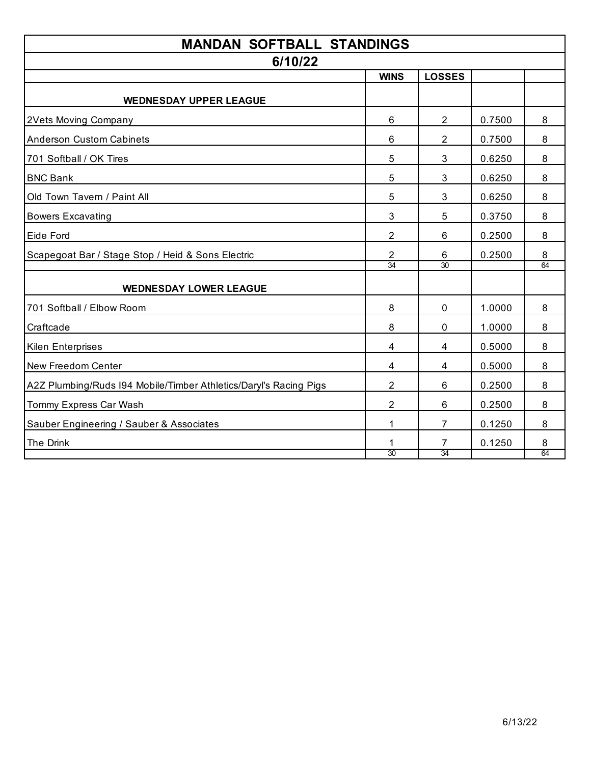| <b>MANDAN SOFTBALL STANDINGS</b>                                  |                      |                |        |         |  |  |
|-------------------------------------------------------------------|----------------------|----------------|--------|---------|--|--|
| 6/10/22                                                           |                      |                |        |         |  |  |
|                                                                   | <b>WINS</b>          | <b>LOSSES</b>  |        |         |  |  |
| <b>WEDNESDAY UPPER LEAGUE</b>                                     |                      |                |        |         |  |  |
| 2Vets Moving Company                                              | 6                    | $\overline{2}$ | 0.7500 | 8       |  |  |
| <b>Anderson Custom Cabinets</b>                                   | 6                    | $\overline{2}$ | 0.7500 | 8       |  |  |
| 701 Softball / OK Tires                                           | 5                    | 3              | 0.6250 | 8       |  |  |
| <b>BNC Bank</b>                                                   | 5                    | 3              | 0.6250 | 8       |  |  |
| Old Town Tavern / Paint All                                       | 5                    | 3              | 0.6250 | 8       |  |  |
| <b>Bowers Excavating</b>                                          | 3                    | 5              | 0.3750 | 8       |  |  |
| Eide Ford                                                         | $\overline{2}$       | 6              | 0.2500 | 8       |  |  |
| Scapegoat Bar / Stage Stop / Heid & Sons Electric                 | $\overline{2}$<br>34 | 6<br>30        | 0.2500 | 8<br>64 |  |  |
|                                                                   |                      |                |        |         |  |  |
| <b>WEDNESDAY LOWER LEAGUE</b>                                     |                      |                |        |         |  |  |
| 701 Softball / Elbow Room                                         | 8                    | 0              | 1.0000 | 8       |  |  |
| Craftcade                                                         | 8                    | 0              | 1.0000 | 8       |  |  |
| <b>Kilen Enterprises</b>                                          | 4                    | 4              | 0.5000 | 8       |  |  |
| New Freedom Center                                                | 4                    | 4              | 0.5000 | 8       |  |  |
| A2Z Plumbing/Ruds I94 Mobile/Timber Athletics/Daryl's Racing Pigs | $\overline{2}$       | 6              | 0.2500 | 8       |  |  |
| Tommy Express Car Wash                                            | $\overline{2}$       | 6              | 0.2500 | 8       |  |  |
| Sauber Engineering / Sauber & Associates                          | 1                    | 7              | 0.1250 | 8       |  |  |
| The Drink                                                         |                      | 7              | 0.1250 | 8       |  |  |
|                                                                   | 30                   | 34             |        | 64      |  |  |